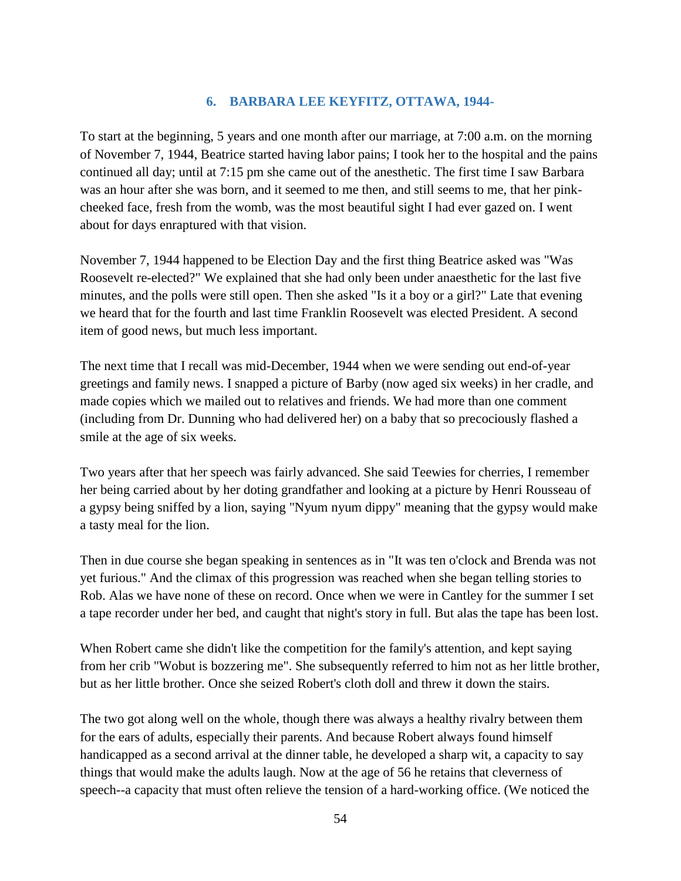## **6. BARBARA LEE KEYFITZ, OTTAWA, 1944-**

To start at the beginning, 5 years and one month after our marriage, at 7:00 a.m. on the morning of November 7, 1944, Beatrice started having labor pains; I took her to the hospital and the pains continued all day; until at 7:15 pm she came out of the anesthetic. The first time I saw Barbara was an hour after she was born, and it seemed to me then, and still seems to me, that her pinkcheeked face, fresh from the womb, was the most beautiful sight I had ever gazed on. I went about for days enraptured with that vision.

November 7, 1944 happened to be Election Day and the first thing Beatrice asked was "Was Roosevelt re-elected?" We explained that she had only been under anaesthetic for the last five minutes, and the polls were still open. Then she asked "Is it a boy or a girl?" Late that evening we heard that for the fourth and last time Franklin Roosevelt was elected President. A second item of good news, but much less important.

The next time that I recall was mid-December, 1944 when we were sending out end-of-year greetings and family news. I snapped a picture of Barby (now aged six weeks) in her cradle, and made copies which we mailed out to relatives and friends. We had more than one comment (including from Dr. Dunning who had delivered her) on a baby that so precociously flashed a smile at the age of six weeks.

Two years after that her speech was fairly advanced. She said Teewies for cherries, I remember her being carried about by her doting grandfather and looking at a picture by Henri Rousseau of a gypsy being sniffed by a lion, saying "Nyum nyum dippy" meaning that the gypsy would make a tasty meal for the lion.

Then in due course she began speaking in sentences as in "It was ten o'clock and Brenda was not yet furious." And the climax of this progression was reached when she began telling stories to Rob. Alas we have none of these on record. Once when we were in Cantley for the summer I set a tape recorder under her bed, and caught that night's story in full. But alas the tape has been lost.

When Robert came she didn't like the competition for the family's attention, and kept saying from her crib "Wobut is bozzering me". She subsequently referred to him not as her little brother, but as her little brother. Once she seized Robert's cloth doll and threw it down the stairs.

The two got along well on the whole, though there was always a healthy rivalry between them for the ears of adults, especially their parents. And because Robert always found himself handicapped as a second arrival at the dinner table, he developed a sharp wit, a capacity to say things that would make the adults laugh. Now at the age of 56 he retains that cleverness of speech--a capacity that must often relieve the tension of a hard-working office. (We noticed the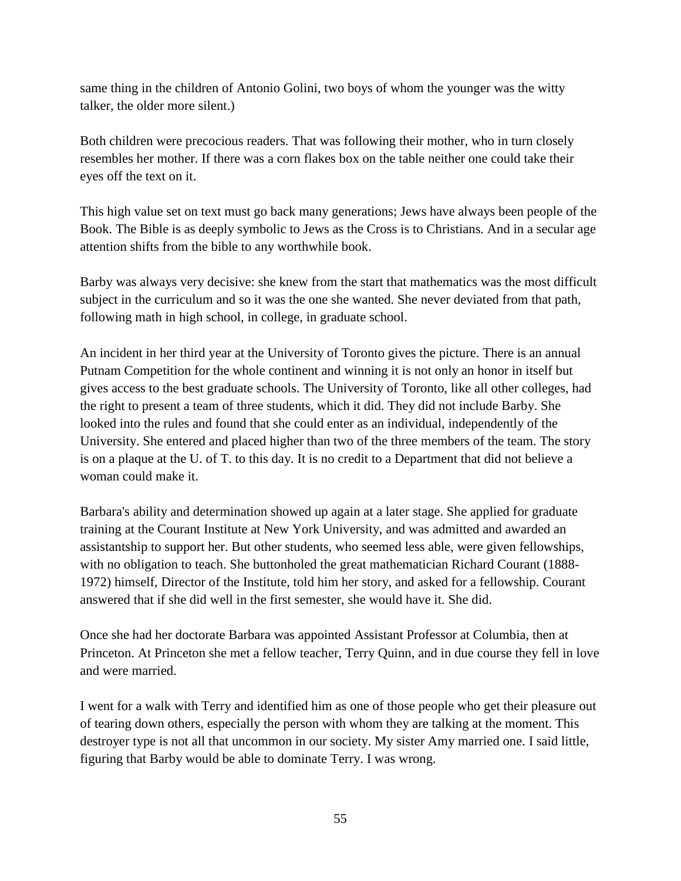same thing in the children of Antonio Golini, two boys of whom the younger was the witty talker, the older more silent.)

Both children were precocious readers. That was following their mother, who in turn closely resembles her mother. If there was a corn flakes box on the table neither one could take their eyes off the text on it.

This high value set on text must go back many generations; Jews have always been people of the Book. The Bible is as deeply symbolic to Jews as the Cross is to Christians. And in a secular age attention shifts from the bible to any worthwhile book.

Barby was always very decisive: she knew from the start that mathematics was the most difficult subject in the curriculum and so it was the one she wanted. She never deviated from that path, following math in high school, in college, in graduate school.

An incident in her third year at the University of Toronto gives the picture. There is an annual Putnam Competition for the whole continent and winning it is not only an honor in itself but gives access to the best graduate schools. The University of Toronto, like all other colleges, had the right to present a team of three students, which it did. They did not include Barby. She looked into the rules and found that she could enter as an individual, independently of the University. She entered and placed higher than two of the three members of the team. The story is on a plaque at the U. of T. to this day. It is no credit to a Department that did not believe a woman could make it.

Barbara's ability and determination showed up again at a later stage. She applied for graduate training at the Courant Institute at New York University, and was admitted and awarded an assistantship to support her. But other students, who seemed less able, were given fellowships, with no obligation to teach. She buttonholed the great mathematician Richard Courant (1888- 1972) himself, Director of the Institute, told him her story, and asked for a fellowship. Courant answered that if she did well in the first semester, she would have it. She did.

Once she had her doctorate Barbara was appointed Assistant Professor at Columbia, then at Princeton. At Princeton she met a fellow teacher, Terry Quinn, and in due course they fell in love and were married.

I went for a walk with Terry and identified him as one of those people who get their pleasure out of tearing down others, especially the person with whom they are talking at the moment. This destroyer type is not all that uncommon in our society. My sister Amy married one. I said little, figuring that Barby would be able to dominate Terry. I was wrong.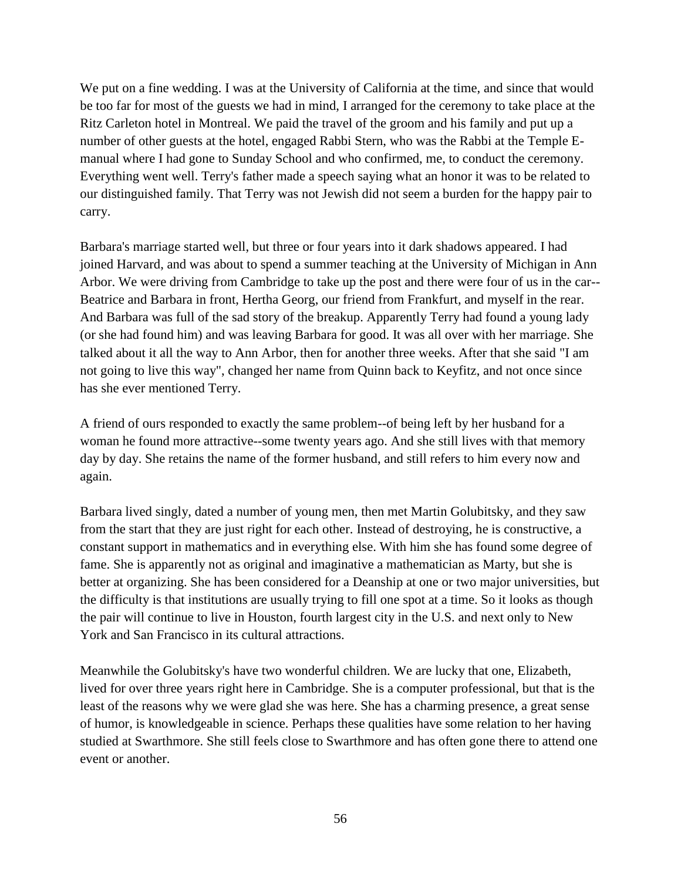We put on a fine wedding. I was at the University of California at the time, and since that would be too far for most of the guests we had in mind, I arranged for the ceremony to take place at the Ritz Carleton hotel in Montreal. We paid the travel of the groom and his family and put up a number of other guests at the hotel, engaged Rabbi Stern, who was the Rabbi at the Temple Emanual where I had gone to Sunday School and who confirmed, me, to conduct the ceremony. Everything went well. Terry's father made a speech saying what an honor it was to be related to our distinguished family. That Terry was not Jewish did not seem a burden for the happy pair to carry.

Barbara's marriage started well, but three or four years into it dark shadows appeared. I had joined Harvard, and was about to spend a summer teaching at the University of Michigan in Ann Arbor. We were driving from Cambridge to take up the post and there were four of us in the car-- Beatrice and Barbara in front, Hertha Georg, our friend from Frankfurt, and myself in the rear. And Barbara was full of the sad story of the breakup. Apparently Terry had found a young lady (or she had found him) and was leaving Barbara for good. It was all over with her marriage. She talked about it all the way to Ann Arbor, then for another three weeks. After that she said "I am not going to live this way", changed her name from Quinn back to Keyfitz, and not once since has she ever mentioned Terry.

A friend of ours responded to exactly the same problem--of being left by her husband for a woman he found more attractive--some twenty years ago. And she still lives with that memory day by day. She retains the name of the former husband, and still refers to him every now and again.

Barbara lived singly, dated a number of young men, then met Martin Golubitsky, and they saw from the start that they are just right for each other. Instead of destroying, he is constructive, a constant support in mathematics and in everything else. With him she has found some degree of fame. She is apparently not as original and imaginative a mathematician as Marty, but she is better at organizing. She has been considered for a Deanship at one or two major universities, but the difficulty is that institutions are usually trying to fill one spot at a time. So it looks as though the pair will continue to live in Houston, fourth largest city in the U.S. and next only to New York and San Francisco in its cultural attractions.

Meanwhile the Golubitsky's have two wonderful children. We are lucky that one, Elizabeth, lived for over three years right here in Cambridge. She is a computer professional, but that is the least of the reasons why we were glad she was here. She has a charming presence, a great sense of humor, is knowledgeable in science. Perhaps these qualities have some relation to her having studied at Swarthmore. She still feels close to Swarthmore and has often gone there to attend one event or another.